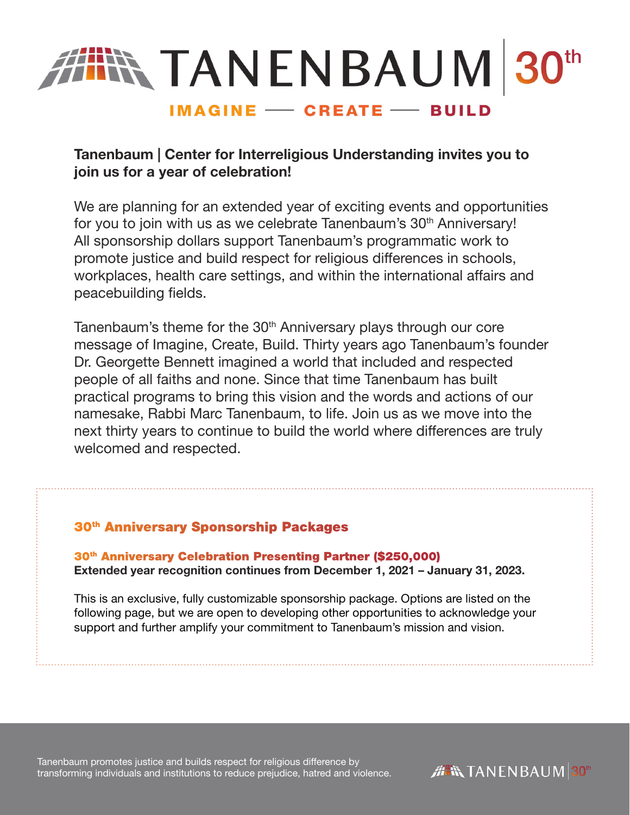

# Tanenbaum | Center for Interreligious Understanding invites you to join us for a year of celebration!

We are planning for an extended year of exciting events and opportunities for you to join with us as we celebrate Tanenbaum's 30<sup>th</sup> Anniversary! All sponsorship dollars support Tanenbaum's programmatic work to promote justice and build respect for religious differences in schools, workplaces, health care settings, and within the international affairs and peacebuilding fields.

Tanenbaum's theme for the 30<sup>th</sup> Anniversary plays through our core message of Imagine, Create, Build. Thirty years ago Tanenbaum's founder Dr. Georgette Bennett imagined a world that included and respected people of all faiths and none. Since that time Tanenbaum has built practical programs to bring this vision and the words and actions of our namesake, Rabbi Marc Tanenbaum, to life. Join us as we move into the next thirty years to continue to build the world where differences are truly welcomed and respected.

## 30th Anniversary Sponsorship Packages

30th Anniversary Celebration Presenting Partner (\$250,000) Extended year recognition continues from December 1, 2021 – January 31, 2023.

This is an exclusive, fully customizable sponsorship package. Options are listed on the following page, but we are open to developing other opportunities to acknowledge your support and further amplify your commitment to Tanenbaum's mission and vision.

Tanenbaum promotes justice and builds respect for religious difference by transforming individuals and institutions to reduce prejudice, hatred and violence.

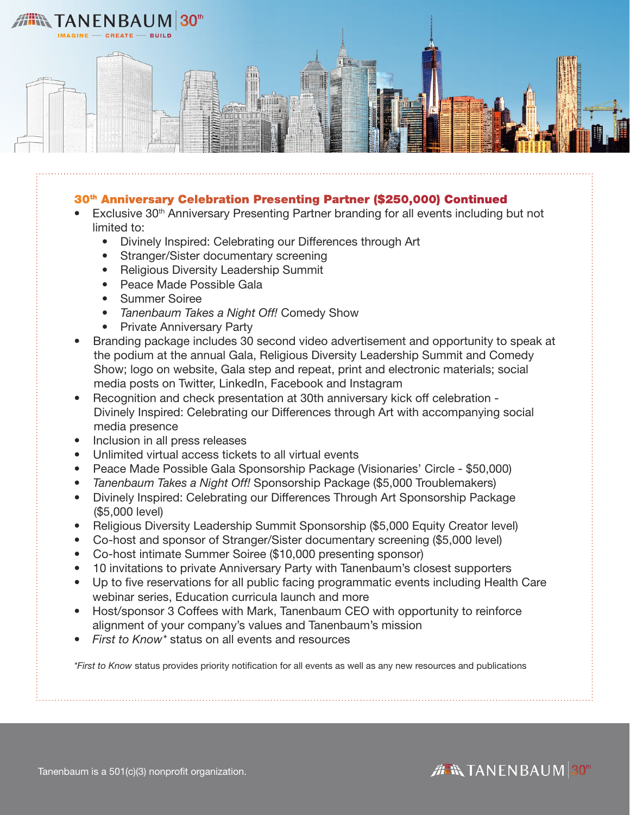

#### 30th Anniversary Celebration Presenting Partner (\$250,000) Continued

- Exclusive 30<sup>th</sup> Anniversary Presenting Partner branding for all events including but not limited to:
	- Divinely Inspired: Celebrating our Differences through Art
	- Stranger/Sister documentary screening
	- Religious Diversity Leadership Summit
	- Peace Made Possible Gala
	- Summer Soiree
	- *• Tanenbaum Takes a Night Off!* Comedy Show
	- Private Anniversary Party
- Branding package includes 30 second video advertisement and opportunity to speak at the podium at the annual Gala, Religious Diversity Leadership Summit and Comedy Show; logo on website, Gala step and repeat, print and electronic materials; social media posts on Twitter, LinkedIn, Facebook and Instagram
- Recognition and check presentation at 30th anniversary kick off celebration Divinely Inspired: Celebrating our Differences through Art with accompanying social media presence
- Inclusion in all press releases
- Unlimited virtual access tickets to all virtual events
- Peace Made Possible Gala Sponsorship Package (Visionaries' Circle \$50,000)
- *Tanenbaum Takes a Night Off!* Sponsorship Package (\$5,000 Troublemakers)
- Divinely Inspired: Celebrating our Differences Through Art Sponsorship Package (\$5,000 level)
- Religious Diversity Leadership Summit Sponsorship (\$5,000 Equity Creator level)
- Co-host and sponsor of Stranger/Sister documentary screening (\$5,000 level)
- Co-host intimate Summer Soiree (\$10,000 presenting sponsor)
- 10 invitations to private Anniversary Party with Tanenbaum's closest supporters
- Up to five reservations for all public facing programmatic events including Health Care webinar series, Education curricula launch and more
- Host/sponsor 3 Coffees with Mark, Tanenbaum CEO with opportunity to reinforce alignment of your company's values and Tanenbaum's mission
- *• First to Know\** status on all events and resources

*\*First to Know* status provides priority notification for all events as well as any new resources and publications



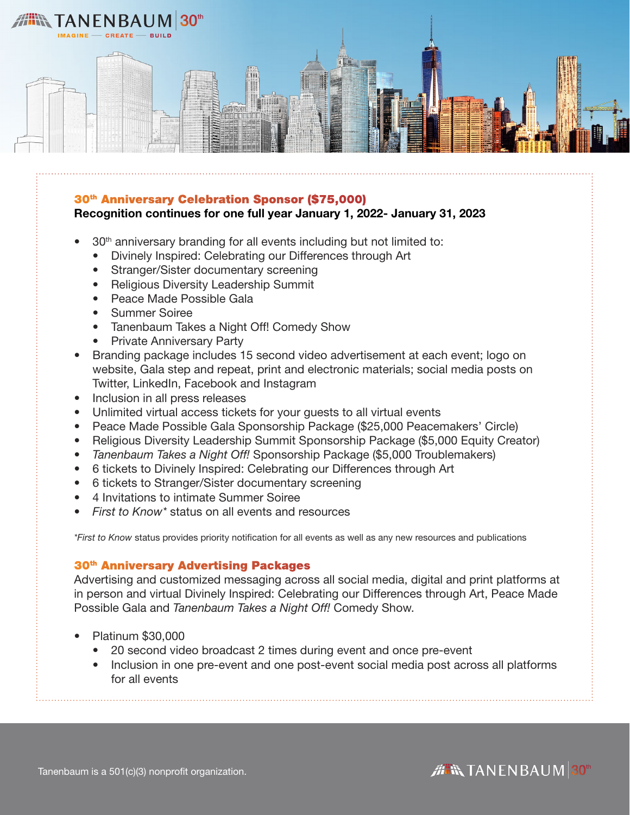

### 30th Anniversary Celebration Sponsor (\$75,000)

### Recognition continues for one full year January 1, 2022- January 31, 2023

- 30th anniversary branding for all events including but not limited to:
	- Divinely Inspired: Celebrating our Differences through Art
	- Stranger/Sister documentary screening
	- Religious Diversity Leadership Summit
	- Peace Made Possible Gala
	- Summer Soiree
	- Tanenbaum Takes a Night Off! Comedy Show
	- Private Anniversary Party
- Branding package includes 15 second video advertisement at each event; logo on website, Gala step and repeat, print and electronic materials; social media posts on Twitter, LinkedIn, Facebook and Instagram
- Inclusion in all press releases
- Unlimited virtual access tickets for your guests to all virtual events
- Peace Made Possible Gala Sponsorship Package (\$25,000 Peacemakers' Circle)
- Religious Diversity Leadership Summit Sponsorship Package (\$5,000 Equity Creator)
- *• Tanenbaum Takes a Night Off!* Sponsorship Package (\$5,000 Troublemakers)
- 6 tickets to Divinely Inspired: Celebrating our Differences through Art
- 6 tickets to Stranger/Sister documentary screening
- 4 Invitations to intimate Summer Soiree
- *• First to Know\** status on all events and resources

*\*First to Know* status provides priority notification for all events as well as any new resources and publications

#### 30<sup>th</sup> Anniversary Advertising Packages

Advertising and customized messaging across all social media, digital and print platforms at in person and virtual Divinely Inspired: Celebrating our Differences through Art, Peace Made Possible Gala and *Tanenbaum Takes a Night Off!* Comedy Show.

- Platinum \$30,000
	- 20 second video broadcast 2 times during event and once pre-event
	- Inclusion in one pre-event and one post-event social media post across all platforms for all events